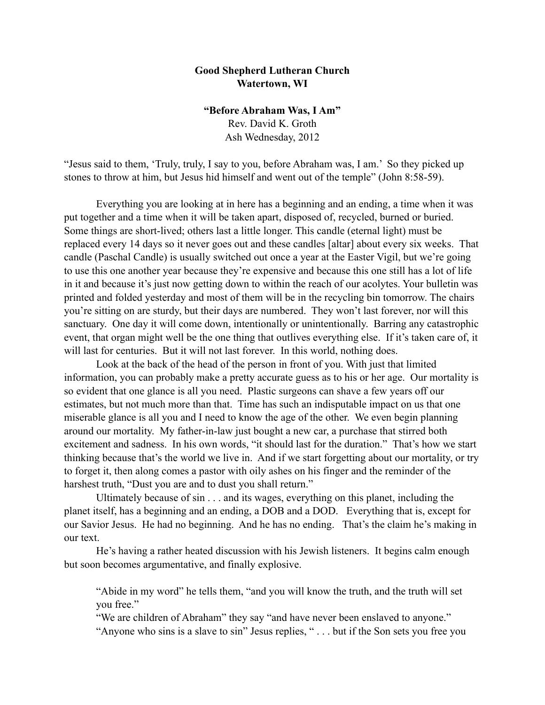## **Good Shepherd Lutheran Church Watertown, WI**

## **"Before Abraham Was, I Am"**

Rev. David K. Groth Ash Wednesday, 2012

"Jesus said to them, 'Truly, truly, I say to you, before Abraham was, I am.' So they picked up stones to throw at him, but Jesus hid himself and went out of the temple" (John 8:58-59).

 Everything you are looking at in here has a beginning and an ending, a time when it was put together and a time when it will be taken apart, disposed of, recycled, burned or buried. Some things are short-lived; others last a little longer. This candle (eternal light) must be replaced every 14 days so it never goes out and these candles [altar] about every six weeks. That candle (Paschal Candle) is usually switched out once a year at the Easter Vigil, but we're going to use this one another year because they're expensive and because this one still has a lot of life in it and because it's just now getting down to within the reach of our acolytes. Your bulletin was printed and folded yesterday and most of them will be in the recycling bin tomorrow. The chairs you're sitting on are sturdy, but their days are numbered. They won't last forever, nor will this sanctuary. One day it will come down, intentionally or unintentionally. Barring any catastrophic event, that organ might well be the one thing that outlives everything else. If it's taken care of, it will last for centuries. But it will not last forever. In this world, nothing does.

Look at the back of the head of the person in front of you. With just that limited information, you can probably make a pretty accurate guess as to his or her age. Our mortality is so evident that one glance is all you need. Plastic surgeons can shave a few years off our estimates, but not much more than that. Time has such an indisputable impact on us that one miserable glance is all you and I need to know the age of the other. We even begin planning around our mortality. My father-in-law just bought a new car, a purchase that stirred both excitement and sadness. In his own words, "it should last for the duration." That's how we start thinking because that's the world we live in. And if we start forgetting about our mortality, or try to forget it, then along comes a pastor with oily ashes on his finger and the reminder of the harshest truth, "Dust you are and to dust you shall return."

Ultimately because of sin . . . and its wages, everything on this planet, including the planet itself, has a beginning and an ending, a DOB and a DOD. Everything that is, except for our Savior Jesus. He had no beginning. And he has no ending. That's the claim he's making in our text.

 He's having a rather heated discussion with his Jewish listeners. It begins calm enough but soon becomes argumentative, and finally explosive.

"Abide in my word" he tells them, "and you will know the truth, and the truth will set you free."

"We are children of Abraham" they say "and have never been enslaved to anyone." "Anyone who sins is a slave to sin" Jesus replies, " . . . but if the Son sets you free you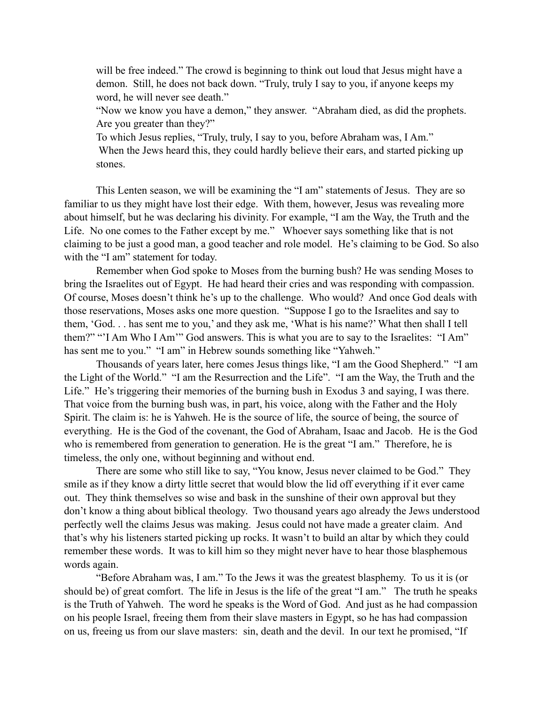will be free indeed." The crowd is beginning to think out loud that Jesus might have a demon. Still, he does not back down. "Truly, truly I say to you, if anyone keeps my word, he will never see death."

"Now we know you have a demon," they answer. "Abraham died, as did the prophets. Are you greater than they?"

To which Jesus replies, "Truly, truly, I say to you, before Abraham was, I Am." When the Jews heard this, they could hardly believe their ears, and started picking up stones.

 This Lenten season, we will be examining the "I am" statements of Jesus. They are so familiar to us they might have lost their edge. With them, however, Jesus was revealing more about himself, but he was declaring his divinity. For example, "I am the Way, the Truth and the Life. No one comes to the Father except by me." Whoever says something like that is not claiming to be just a good man, a good teacher and role model. He's claiming to be God. So also with the "I am" statement for today.

Remember when God spoke to Moses from the burning bush? He was sending Moses to bring the Israelites out of Egypt. He had heard their cries and was responding with compassion. Of course, Moses doesn't think he's up to the challenge. Who would? And once God deals with those reservations, Moses asks one more question. "Suppose I go to the Israelites and say to them, 'God. . . has sent me to you,' and they ask me, 'What is his name?' What then shall I tell them?" "'I Am Who I Am'" God answers. This is what you are to say to the Israelites: "I Am" has sent me to you." "I am" in Hebrew sounds something like "Yahweh."

Thousands of years later, here comes Jesus things like, "I am the Good Shepherd." "I am the Light of the World." "I am the Resurrection and the Life". "I am the Way, the Truth and the Life." He's triggering their memories of the burning bush in Exodus 3 and saying, I was there. That voice from the burning bush was, in part, his voice, along with the Father and the Holy Spirit. The claim is: he is Yahweh. He is the source of life, the source of being, the source of everything. He is the God of the covenant, the God of Abraham, Isaac and Jacob. He is the God who is remembered from generation to generation. He is the great "I am." Therefore, he is timeless, the only one, without beginning and without end.

There are some who still like to say, "You know, Jesus never claimed to be God." They smile as if they know a dirty little secret that would blow the lid off everything if it ever came out. They think themselves so wise and bask in the sunshine of their own approval but they don't know a thing about biblical theology. Two thousand years ago already the Jews understood perfectly well the claims Jesus was making. Jesus could not have made a greater claim. And that's why his listeners started picking up rocks. It wasn't to build an altar by which they could remember these words. It was to kill him so they might never have to hear those blasphemous words again.

"Before Abraham was, I am." To the Jews it was the greatest blasphemy. To us it is (or should be) of great comfort. The life in Jesus is the life of the great "I am." The truth he speaks is the Truth of Yahweh. The word he speaks is the Word of God. And just as he had compassion on his people Israel, freeing them from their slave masters in Egypt, so he has had compassion on us, freeing us from our slave masters: sin, death and the devil. In our text he promised, "If